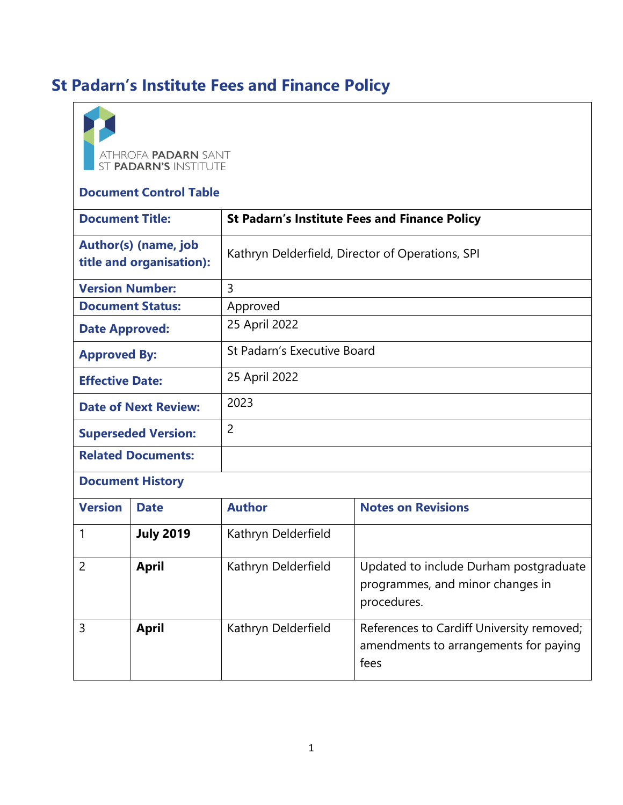# **St Padarn's Institute Fees and Finance Policy**

| ATHROFA PADARN SANT<br>ST PADARN'S INSTITUTE<br><b>Document Control Table</b> |                  |                                                      |                                                                                            |
|-------------------------------------------------------------------------------|------------------|------------------------------------------------------|--------------------------------------------------------------------------------------------|
| <b>Document Title:</b>                                                        |                  | <b>St Padarn's Institute Fees and Finance Policy</b> |                                                                                            |
| Author(s) (name, job<br>title and organisation):                              |                  | Kathryn Delderfield, Director of Operations, SPI     |                                                                                            |
| <b>Version Number:</b>                                                        |                  | 3                                                    |                                                                                            |
| <b>Document Status:</b>                                                       |                  | Approved                                             |                                                                                            |
| <b>Date Approved:</b>                                                         |                  | 25 April 2022                                        |                                                                                            |
| <b>Approved By:</b>                                                           |                  | St Padarn's Executive Board                          |                                                                                            |
| <b>Effective Date:</b>                                                        |                  | 25 April 2022                                        |                                                                                            |
| <b>Date of Next Review:</b>                                                   |                  | 2023                                                 |                                                                                            |
| <b>Superseded Version:</b>                                                    |                  | $\overline{2}$                                       |                                                                                            |
| <b>Related Documents:</b>                                                     |                  |                                                      |                                                                                            |
| <b>Document History</b>                                                       |                  |                                                      |                                                                                            |
| <b>Version</b>                                                                | <b>Date</b>      | <b>Author</b>                                        | <b>Notes on Revisions</b>                                                                  |
| 1                                                                             | <b>July 2019</b> | Kathryn Delderfield                                  |                                                                                            |
| $\overline{2}$                                                                | <b>April</b>     | Kathryn Delderfield                                  | Updated to include Durham postgraduate<br>programmes, and minor changes in<br>procedures.  |
| 3                                                                             | <b>April</b>     | Kathryn Delderfield                                  | References to Cardiff University removed;<br>amendments to arrangements for paying<br>fees |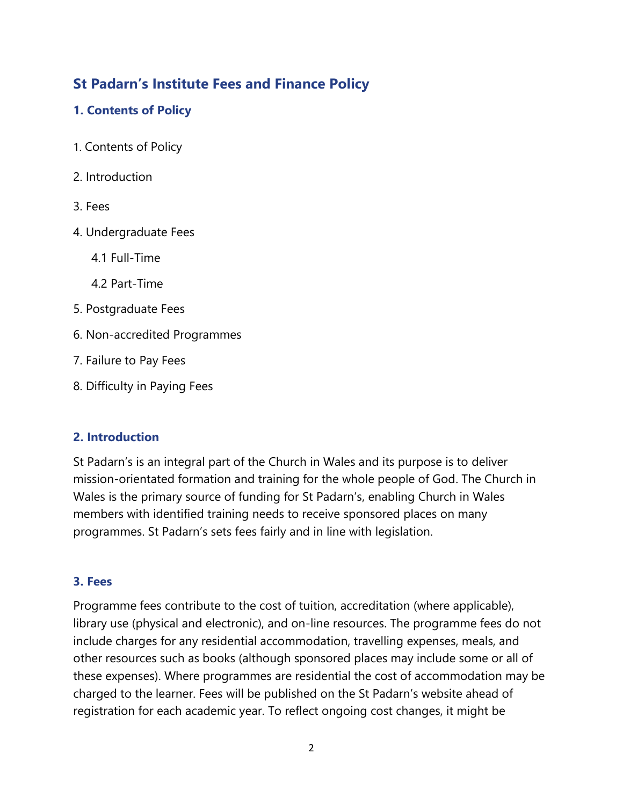# **St Padarn's Institute Fees and Finance Policy**

# **1. Contents of Policy**

- 1. Contents of Policy
- 2. Introduction
- 3. Fees
- 4. Undergraduate Fees
	- 4.1 Full-Time
	- 4.2 Part-Time
- 5. Postgraduate Fees
- 6. Non-accredited Programmes
- 7. Failure to Pay Fees
- 8. Difficulty in Paying Fees

# **2. Introduction**

St Padarn's is an integral part of the Church in Wales and its purpose is to deliver mission-orientated formation and training for the whole people of God. The Church in Wales is the primary source of funding for St Padarn's, enabling Church in Wales members with identified training needs to receive sponsored places on many programmes. St Padarn's sets fees fairly and in line with legislation.

# **3. Fees**

Programme fees contribute to the cost of tuition, accreditation (where applicable), library use (physical and electronic), and on-line resources. The programme fees do not include charges for any residential accommodation, travelling expenses, meals, and other resources such as books (although sponsored places may include some or all of these expenses). Where programmes are residential the cost of accommodation may be charged to the learner. Fees will be published on the St Padarn's website ahead of registration for each academic year. To reflect ongoing cost changes, it might be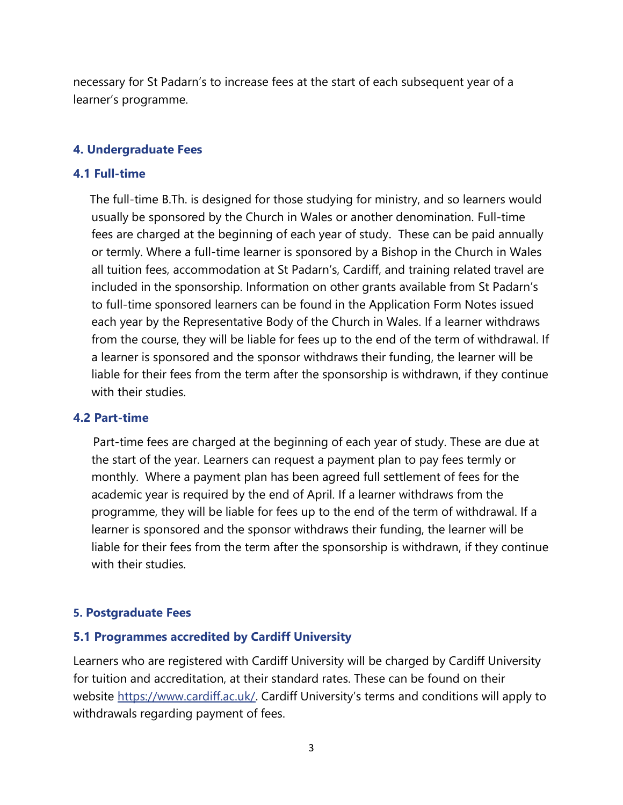necessary for St Padarn's to increase fees at the start of each subsequent year of a learner's programme.

#### **4. Undergraduate Fees**

#### **4.1 Full-time**

 The full-time B.Th. is designed for those studying for ministry, and so learners would usually be sponsored by the Church in Wales or another denomination. Full-time fees are charged at the beginning of each year of study. These can be paid annually or termly. Where a full-time learner is sponsored by a Bishop in the Church in Wales all tuition fees, accommodation at St Padarn's, Cardiff, and training related travel are included in the sponsorship. Information on other grants available from St Padarn's to full-time sponsored learners can be found in the Application Form Notes issued each year by the Representative Body of the Church in Wales. If a learner withdraws from the course, they will be liable for fees up to the end of the term of withdrawal. If a learner is sponsored and the sponsor withdraws their funding, the learner will be liable for their fees from the term after the sponsorship is withdrawn, if they continue with their studies.

#### **4.2 Part-time**

 Part-time fees are charged at the beginning of each year of study. These are due at the start of the year. Learners can request a payment plan to pay fees termly or monthly. Where a payment plan has been agreed full settlement of fees for the academic year is required by the end of April. If a learner withdraws from the programme, they will be liable for fees up to the end of the term of withdrawal. If a learner is sponsored and the sponsor withdraws their funding, the learner will be liable for their fees from the term after the sponsorship is withdrawn, if they continue with their studies.

#### **5. Postgraduate Fees**

#### **5.1 Programmes accredited by Cardiff University**

Learners who are registered with Cardiff University will be charged by Cardiff University for tuition and accreditation, at their standard rates. These can be found on their website [https://www.cardiff.ac.uk/.](https://www.cardiff.ac.uk/) Cardiff University's terms and conditions will apply to withdrawals regarding payment of fees.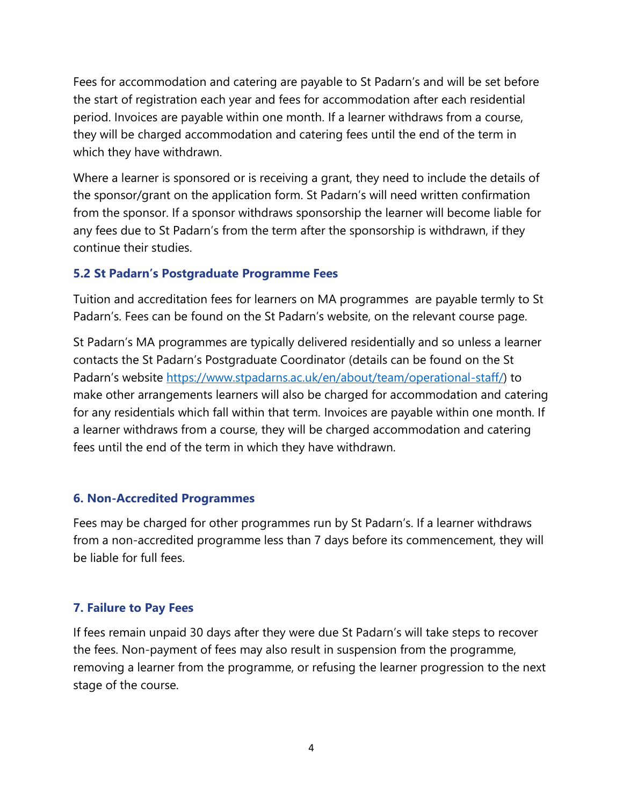Fees for accommodation and catering are payable to St Padarn's and will be set before the start of registration each year and fees for accommodation after each residential period. Invoices are payable within one month. If a learner withdraws from a course, they will be charged accommodation and catering fees until the end of the term in which they have withdrawn.

Where a learner is sponsored or is receiving a grant, they need to include the details of the sponsor/grant on the application form. St Padarn's will need written confirmation from the sponsor. If a sponsor withdraws sponsorship the learner will become liable for any fees due to St Padarn's from the term after the sponsorship is withdrawn, if they continue their studies.

#### **5.2 St Padarn's Postgraduate Programme Fees**

Tuition and accreditation fees for learners on MA programmes are payable termly to St Padarn's. Fees can be found on the St Padarn's website, on the relevant course page.

St Padarn's MA programmes are typically delivered residentially and so unless a learner contacts the St Padarn's Postgraduate Coordinator (details can be found on the St Padarn's website [https://www.stpadarns.ac.uk/en/about/team/operational-staff/\)](https://www.stpadarns.ac.uk/en/about/team/operational-staff/) to make other arrangements learners will also be charged for accommodation and catering for any residentials which fall within that term. Invoices are payable within one month. If a learner withdraws from a course, they will be charged accommodation and catering fees until the end of the term in which they have withdrawn.

# **6. Non-Accredited Programmes**

Fees may be charged for other programmes run by St Padarn's. If a learner withdraws from a non-accredited programme less than 7 days before its commencement, they will be liable for full fees.

# **7. Failure to Pay Fees**

If fees remain unpaid 30 days after they were due St Padarn's will take steps to recover the fees. Non-payment of fees may also result in suspension from the programme, removing a learner from the programme, or refusing the learner progression to the next stage of the course.